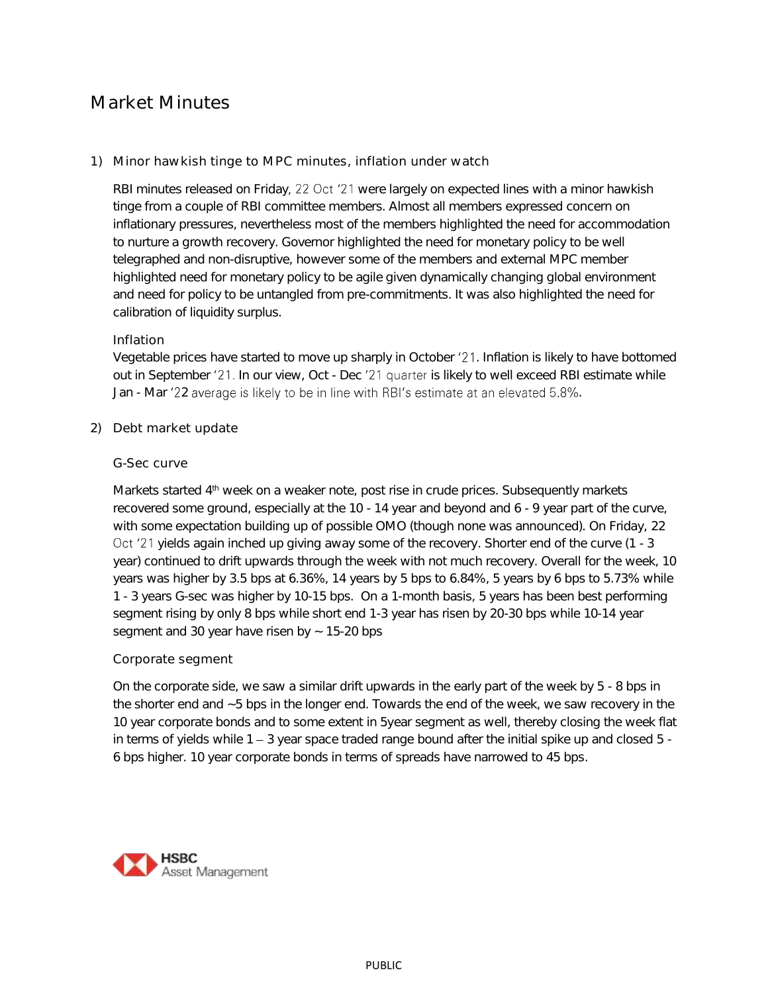# Market Minutes

## 1) Minor hawkish tinge to MPC minutes, inflation under watch

RBI minutes released on Friday, 22 Oct '21 were largely on expected lines with a minor hawkish tinge from a couple of RBI committee members. Almost all members expressed concern on inflationary pressures, nevertheless most of the members highlighted the need for accommodation to nurture a growth recovery. Governor highlighted the need for monetary policy to be well telegraphed and non-disruptive, however some of the members and external MPC member highlighted need for monetary policy to be agile given dynamically changing global environment and need for policy to be untangled from pre-commitments. It was also highlighted the need for calibration of liquidity surplus.

### Inflation

Vegetable prices have started to move up sharply in October '21. Inflation is likely to have bottomed out in September '21. In our view, Oct - Dec '21 quarter is likely to well exceed RBI estimate while Jan - Mar '22 average is likely to be in line with RBI's estimate at an elevated 5.8%.

2) Debt market update

#### G-Sec curve

Markets started 4<sup>th</sup> week on a weaker note, post rise in crude prices. Subsequently markets recovered some ground, especially at the 10 - 14 year and beyond and 6 - 9 year part of the curve, with some expectation building up of possible OMO (though none was announced). On Friday, 22 Oct '21 yields again inched up giving away some of the recovery. Shorter end of the curve (1 - 3 year) continued to drift upwards through the week with not much recovery. Overall for the week, 10 years was higher by 3.5 bps at 6.36%, 14 years by 5 bps to 6.84%, 5 years by 6 bps to 5.73% while 1 - 3 years G-sec was higher by 10-15 bps. On a 1-month basis, 5 years has been best performing segment rising by only 8 bps while short end 1-3 year has risen by 20-30 bps while 10-14 year segment and 30 year have risen by  $\sim$  15-20 bps

### Corporate segment

On the corporate side, we saw a similar drift upwards in the early part of the week by 5 - 8 bps in the shorter end and ~5 bps in the longer end. Towards the end of the week, we saw recovery in the 10 year corporate bonds and to some extent in 5year segment as well, thereby closing the week flat in terms of yields while  $1 - 3$  year space traded range bound after the initial spike up and closed  $5 - 1$ 6 bps higher. 10 year corporate bonds in terms of spreads have narrowed to 45 bps.